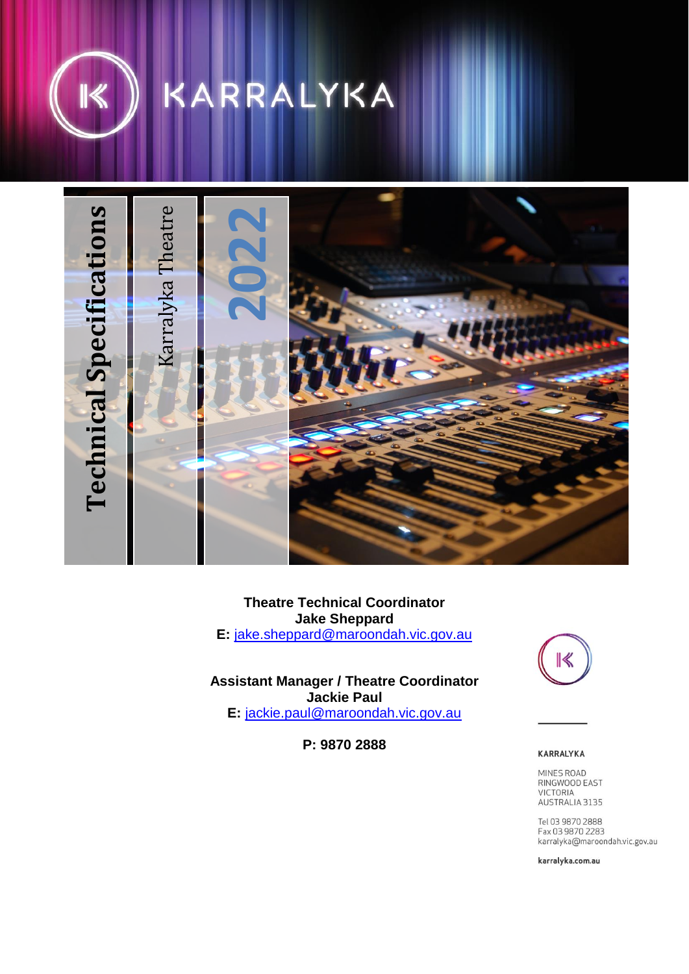



**Theatre Technical Coordinator Jake Sheppard E:** [jake.sheppard@maroondah.vic.gov.au](mailto:jake.sheppard@maroondah.vic.gov.au)

**Assistant Manager / Theatre Coordinator Jackie Paul E:** [jackie.paul@maroondah.vic.gov.au](mailto:jackie.paul@maroondah.vic.gov.au)

**P: 9870 2888**



KARRALYKA

MINES ROAD RINGWOOD EAST VICTORIA<br>AUSTRALIA 3135

Tel 03 9870 2888<br>Fax 03 9870 2283 karralyka@maroondah.vic.gov.au

karralyka.com.au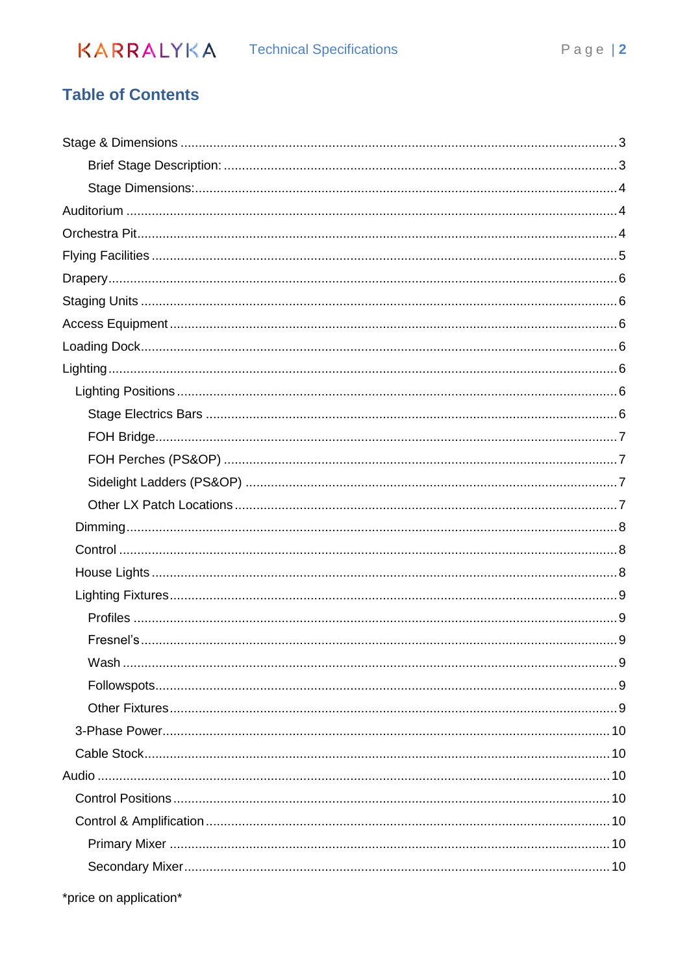

# **Table of Contents**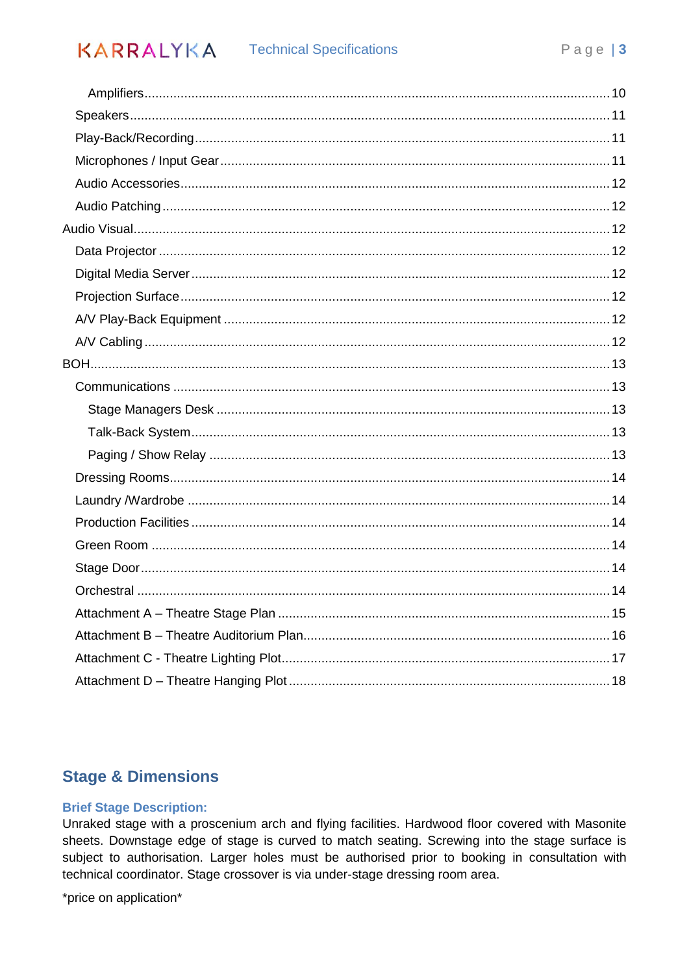# <span id="page-2-0"></span>**Stage & Dimensions**

#### <span id="page-2-1"></span>**Brief Stage Description:**

Unraked stage with a proscenium arch and flying facilities. Hardwood floor covered with Masonite sheets. Downstage edge of stage is curved to match seating. Screwing into the stage surface is subject to authorisation. Larger holes must be authorised prior to booking in consultation with technical coordinator. Stage crossover is via under-stage dressing room area.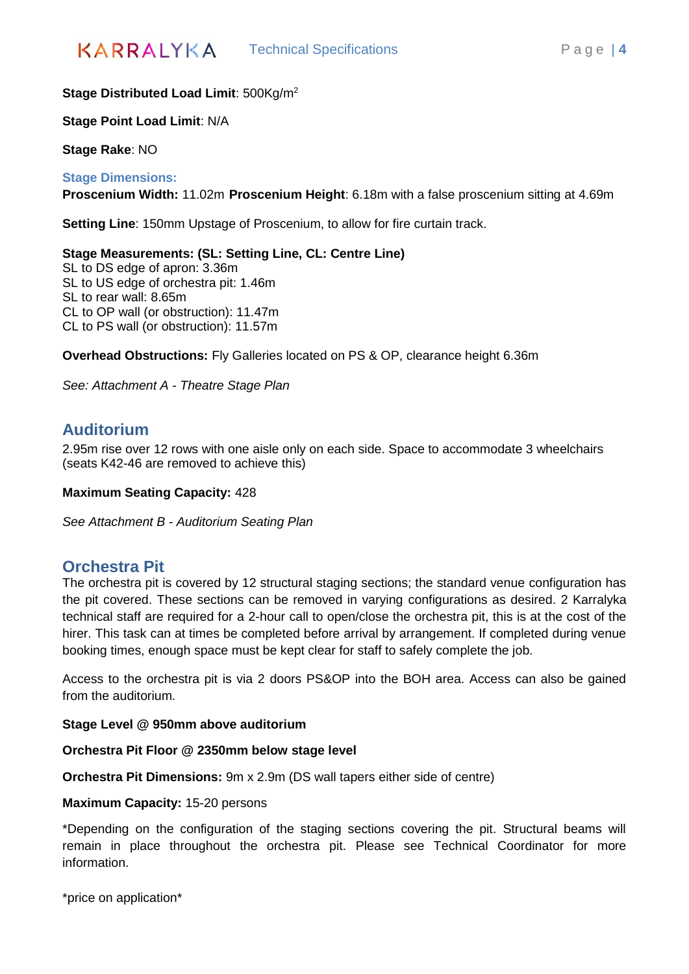

#### **Stage Distributed Load Limit**: 500Kg/m<sup>2</sup>

**Stage Point Load Limit**: N/A

**Stage Rake**: NO

#### <span id="page-3-0"></span>**Stage Dimensions:**

**Proscenium Width:** 11.02m **Proscenium Height**: 6.18m with a false proscenium sitting at 4.69m

**Setting Line: 150mm Upstage of Proscenium, to allow for fire curtain track.** 

#### **Stage Measurements: (SL: Setting Line, CL: Centre Line)**

SL to DS edge of apron: 3.36m SL to US edge of orchestra pit: 1.46m SL to rear wall: 8.65m CL to OP wall (or obstruction): 11.47m CL to PS wall (or obstruction): 11.57m

**Overhead Obstructions:** Fly Galleries located on PS & OP, clearance height 6.36m

<span id="page-3-1"></span>*See: Attachment A - Theatre Stage Plan*

## **Auditorium**

2.95m rise over 12 rows with one aisle only on each side. Space to accommodate 3 wheelchairs (seats K42-46 are removed to achieve this)

#### **Maximum Seating Capacity:** 428

<span id="page-3-2"></span>*See Attachment B - Auditorium Seating Plan*

#### **Orchestra Pit**

The orchestra pit is covered by 12 structural staging sections; the standard venue configuration has the pit covered. These sections can be removed in varying configurations as desired. 2 Karralyka technical staff are required for a 2-hour call to open/close the orchestra pit, this is at the cost of the hirer. This task can at times be completed before arrival by arrangement. If completed during venue booking times, enough space must be kept clear for staff to safely complete the job.

Access to the orchestra pit is via 2 doors PS&OP into the BOH area. Access can also be gained from the auditorium.

#### **Stage Level @ 950mm above auditorium**

#### **Orchestra Pit Floor @ 2350mm below stage level**

**Orchestra Pit Dimensions:** 9m x 2.9m (DS wall tapers either side of centre)

#### **Maximum Capacity:** 15-20 persons

\*Depending on the configuration of the staging sections covering the pit. Structural beams will remain in place throughout the orchestra pit. Please see Technical Coordinator for more information.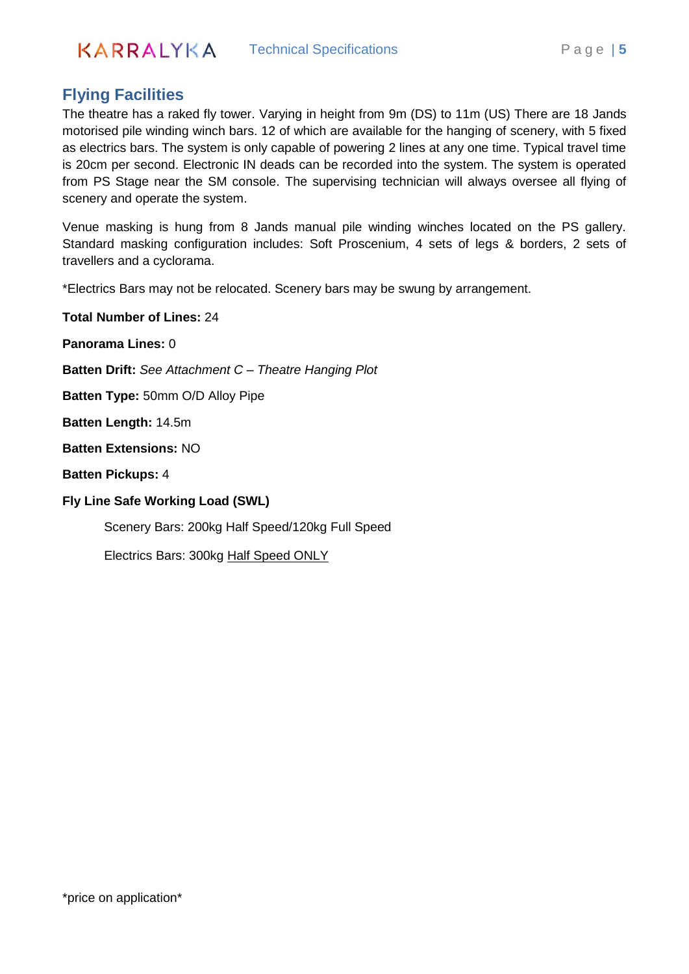

# <span id="page-4-0"></span>**Flying Facilities**

The theatre has a raked fly tower. Varying in height from 9m (DS) to 11m (US) There are 18 Jands motorised pile winding winch bars. 12 of which are available for the hanging of scenery, with 5 fixed as electrics bars. The system is only capable of powering 2 lines at any one time. Typical travel time is 20cm per second. Electronic IN deads can be recorded into the system. The system is operated from PS Stage near the SM console. The supervising technician will always oversee all flying of scenery and operate the system.

Venue masking is hung from 8 Jands manual pile winding winches located on the PS gallery. Standard masking configuration includes: Soft Proscenium, 4 sets of legs & borders, 2 sets of travellers and a cyclorama.

\*Electrics Bars may not be relocated. Scenery bars may be swung by arrangement.

**Total Number of Lines:** 24

**Panorama Lines:** 0

**Batten Drift:** *See Attachment C – Theatre Hanging Plot*

**Batten Type:** 50mm O/D Alloy Pipe

**Batten Length:** 14.5m

**Batten Extensions:** NO

**Batten Pickups:** 4

#### **Fly Line Safe Working Load (SWL)**

Scenery Bars: 200kg Half Speed/120kg Full Speed

Electrics Bars: 300kg Half Speed ONLY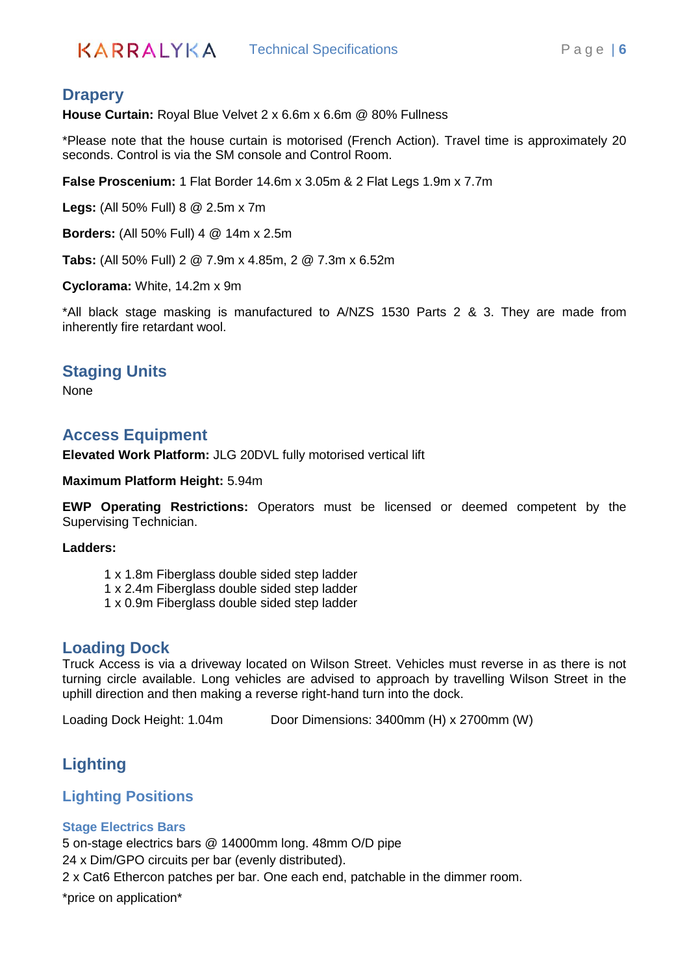

# <span id="page-5-0"></span>**Drapery**

**House Curtain:** Royal Blue Velvet 2 x 6.6m x 6.6m @ 80% Fullness

\*Please note that the house curtain is motorised (French Action). Travel time is approximately 20 seconds. Control is via the SM console and Control Room.

**False Proscenium:** 1 Flat Border 14.6m x 3.05m & 2 Flat Legs 1.9m x 7.7m

**Legs:** (All 50% Full) 8 @ 2.5m x 7m

**Borders:** (All 50% Full) 4 @ 14m x 2.5m

**Tabs:** (All 50% Full) 2 @ 7.9m x 4.85m, 2 @ 7.3m x 6.52m

**Cyclorama:** White, 14.2m x 9m

\*All black stage masking is manufactured to A/NZS 1530 Parts 2 & 3. They are made from inherently fire retardant wool.

## <span id="page-5-1"></span>**Staging Units**

None

## <span id="page-5-2"></span>**Access Equipment**

**Elevated Work Platform:** JLG 20DVL fully motorised vertical lift

**Maximum Platform Height:** 5.94m

**EWP Operating Restrictions:** Operators must be licensed or deemed competent by the Supervising Technician.

**Ladders:**

- 1 x 1.8m Fiberglass double sided step ladder
- 1 x 2.4m Fiberglass double sided step ladder
- 1 x 0.9m Fiberglass double sided step ladder

#### <span id="page-5-3"></span>**Loading Dock**

Truck Access is via a driveway located on Wilson Street. Vehicles must reverse in as there is not turning circle available. Long vehicles are advised to approach by travelling Wilson Street in the uphill direction and then making a reverse right-hand turn into the dock.

Loading Dock Height: 1.04m Door Dimensions: 3400mm (H) x 2700mm (W)

# <span id="page-5-4"></span>**Lighting**

## <span id="page-5-5"></span>**Lighting Positions**

#### <span id="page-5-6"></span>**Stage Electrics Bars**

5 on-stage electrics bars @ 14000mm long. 48mm O/D pipe

24 x Dim/GPO circuits per bar (evenly distributed).

2 x Cat6 Ethercon patches per bar. One each end, patchable in the dimmer room.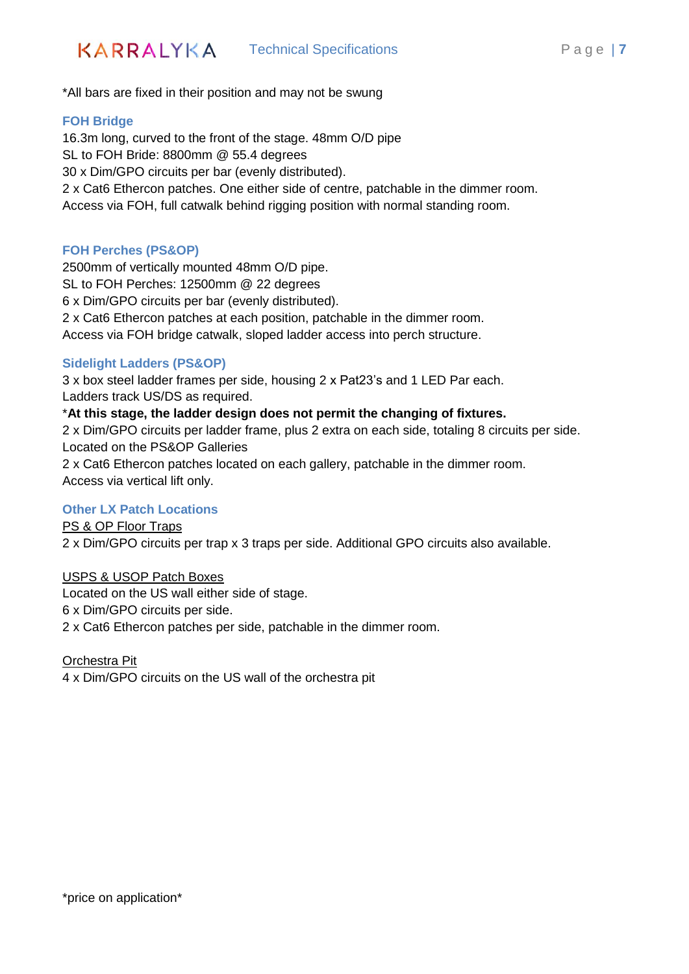

\*All bars are fixed in their position and may not be swung

#### <span id="page-6-0"></span>**FOH Bridge**

16.3m long, curved to the front of the stage. 48mm O/D pipe SL to FOH Bride: 8800mm @ 55.4 degrees 30 x Dim/GPO circuits per bar (evenly distributed). 2 x Cat6 Ethercon patches. One either side of centre, patchable in the dimmer room. Access via FOH, full catwalk behind rigging position with normal standing room.

#### <span id="page-6-1"></span>**FOH Perches (PS&OP)**

2500mm of vertically mounted 48mm O/D pipe. SL to FOH Perches: 12500mm @ 22 degrees 6 x Dim/GPO circuits per bar (evenly distributed). 2 x Cat6 Ethercon patches at each position, patchable in the dimmer room. Access via FOH bridge catwalk, sloped ladder access into perch structure.

#### <span id="page-6-2"></span>**Sidelight Ladders (PS&OP)**

3 x box steel ladder frames per side, housing 2 x Pat23's and 1 LED Par each. Ladders track US/DS as required.

#### \***At this stage, the ladder design does not permit the changing of fixtures.**

2 x Dim/GPO circuits per ladder frame, plus 2 extra on each side, totaling 8 circuits per side. Located on the PS&OP Galleries

2 x Cat6 Ethercon patches located on each gallery, patchable in the dimmer room. Access via vertical lift only.

#### <span id="page-6-3"></span>**Other LX Patch Locations**

#### PS & OP Floor Traps

2 x Dim/GPO circuits per trap x 3 traps per side. Additional GPO circuits also available.

#### USPS & USOP Patch Boxes

Located on the US wall either side of stage.

6 x Dim/GPO circuits per side.

2 x Cat6 Ethercon patches per side, patchable in the dimmer room.

#### Orchestra Pit

4 x Dim/GPO circuits on the US wall of the orchestra pit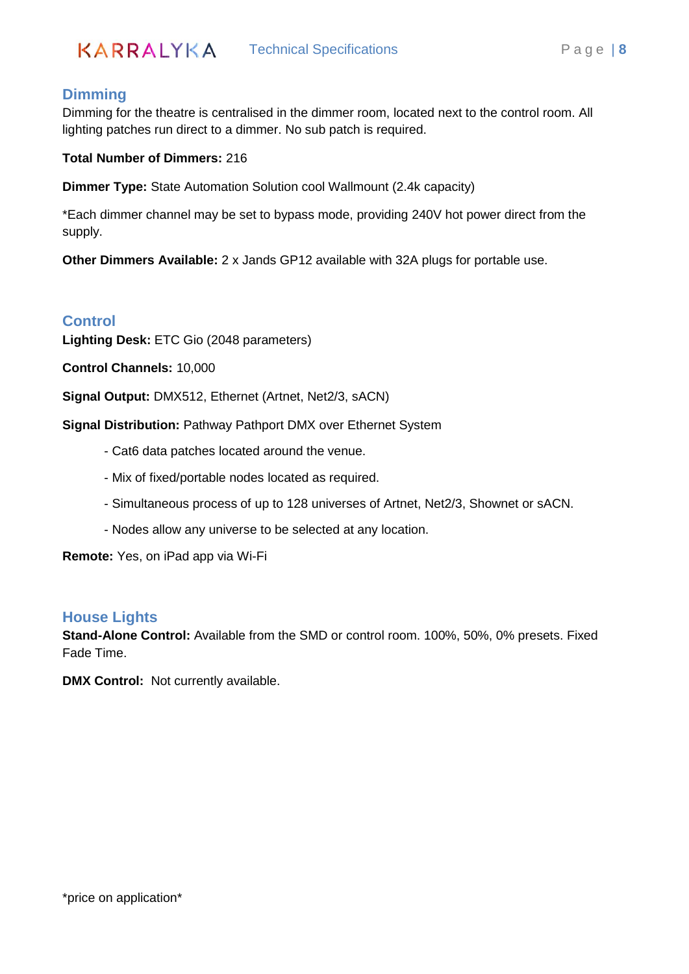

#### <span id="page-7-0"></span>**Dimming**

Dimming for the theatre is centralised in the dimmer room, located next to the control room. All lighting patches run direct to a dimmer. No sub patch is required.

**Total Number of Dimmers:** 216

**Dimmer Type:** State Automation Solution cool Wallmount (2.4k capacity)

\*Each dimmer channel may be set to bypass mode, providing 240V hot power direct from the supply.

**Other Dimmers Available:** 2 x Jands GP12 available with 32A plugs for portable use.

## <span id="page-7-1"></span>**Control**

**Lighting Desk:** ETC Gio (2048 parameters)

**Control Channels:** 10,000

**Signal Output:** DMX512, Ethernet (Artnet, Net2/3, sACN)

**Signal Distribution: Pathway Pathport DMX over Ethernet System** 

- Cat6 data patches located around the venue.
- Mix of fixed/portable nodes located as required.
- Simultaneous process of up to 128 universes of Artnet, Net2/3, Shownet or sACN.
- Nodes allow any universe to be selected at any location.

**Remote:** Yes, on iPad app via Wi-Fi

#### <span id="page-7-2"></span>**House Lights**

**Stand-Alone Control:** Available from the SMD or control room. 100%, 50%, 0% presets. Fixed Fade Time.

**DMX Control: Not currently available.**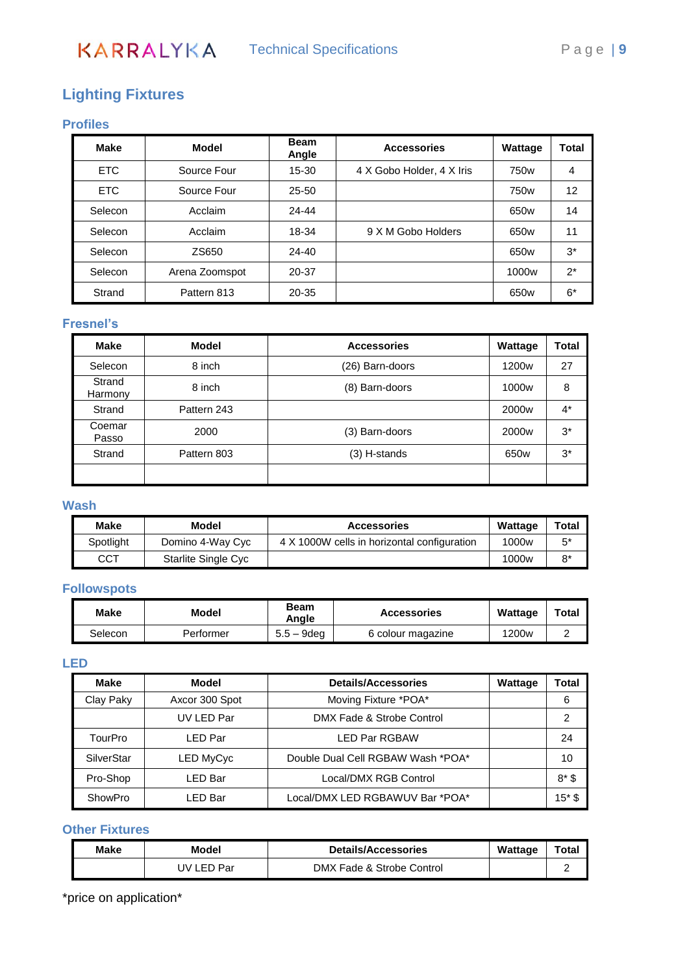# <span id="page-8-0"></span>**Lighting Fixtures**

# <span id="page-8-1"></span>**Profiles**

| <b>Make</b> | Model          | <b>Beam</b><br>Angle | <b>Accessories</b>        | Wattage           | <b>Total</b>      |
|-------------|----------------|----------------------|---------------------------|-------------------|-------------------|
| <b>ETC</b>  | Source Four    | 15-30                | 4 X Gobo Holder, 4 X Iris | 750 <sub>w</sub>  | 4                 |
| <b>ETC</b>  | Source Four    | $25 - 50$            |                           | 750 <sub>w</sub>  | $12 \overline{ }$ |
| Selecon     | Acclaim        | 24-44                |                           | 650 <sub>w</sub>  | 14                |
| Selecon     | Acclaim        | 18-34                | 9 X M Gobo Holders        | 650w              | 11                |
| Selecon     | ZS650          | 24-40                |                           | 650 <sub>w</sub>  | $3^*$             |
| Selecon     | Arena Zoomspot | 20-37                |                           | 1000 <sub>w</sub> | $2^*$             |
| Strand      | Pattern 813    | 20-35                |                           | 650w              | $6*$              |

## <span id="page-8-2"></span>**Fresnel's**

| Make              | Model       | <b>Accessories</b> | Wattage           | Total |
|-------------------|-------------|--------------------|-------------------|-------|
| Selecon           | 8 inch      | (26) Barn-doors    | 1200 <sub>w</sub> | 27    |
| Strand<br>Harmony | 8 inch      | (8) Barn-doors     | 1000 <sub>w</sub> | 8     |
| Strand            | Pattern 243 |                    | 2000 <sub>w</sub> | $4^*$ |
| Coemar<br>Passo   | 2000        | (3) Barn-doors     | 2000 <sub>w</sub> | $3^*$ |
| Strand            | Pattern 803 | (3) H-stands       | 650w              | $3^*$ |
|                   |             |                    |                   |       |

#### <span id="page-8-3"></span>**Wash**

| Make      | Model               | <b>Accessories</b>                          | Wattage           | Total |
|-----------|---------------------|---------------------------------------------|-------------------|-------|
| Spotlight | Domino 4-Way Cyc    | 4 X 1000W cells in horizontal configuration | 1000 <sub>w</sub> | $5^*$ |
| CCT       | Starlite Single Cyc |                                             | 1000 <sub>w</sub> | 8*    |

#### <span id="page-8-4"></span>**Followspots**

| <b>Make</b> | Model     | <b>Beam</b><br>Anale | <b>Accessories</b> | Wattage           | Total |
|-------------|-----------|----------------------|--------------------|-------------------|-------|
| Selecon     | Performer | $5.5 - 9$ deg        | 6 colour magazine  | 1200 <sub>w</sub> |       |

#### <span id="page-8-5"></span>**LED**

| Make       | Model            | <b>Details/Accessories</b>        | Wattage | Total    |
|------------|------------------|-----------------------------------|---------|----------|
| Clay Paky  | Axcor 300 Spot   | Moving Fixture *POA*              |         | 6        |
|            | UV LED Par       | DMX Fade & Strobe Control         |         | 2        |
| TourPro    | LED Par          | <b>LED Par RGBAW</b>              |         | 24       |
| SilverStar | <b>LED MyCyc</b> | Double Dual Cell RGBAW Wash *POA* |         | 10       |
| Pro-Shop   | LED Bar          | Local/DMX RGB Control             |         | $8*$ \$  |
| ShowPro    | LED Bar          | Local/DMX LED RGBAWUV Bar *POA*   |         | $15*$ \$ |

#### **Other Fixtures**

| Make | Model      | <b>Details/Accessories</b> | Wattage | Total |
|------|------------|----------------------------|---------|-------|
|      | UV LED Par | DMX Fade & Strobe Control  |         |       |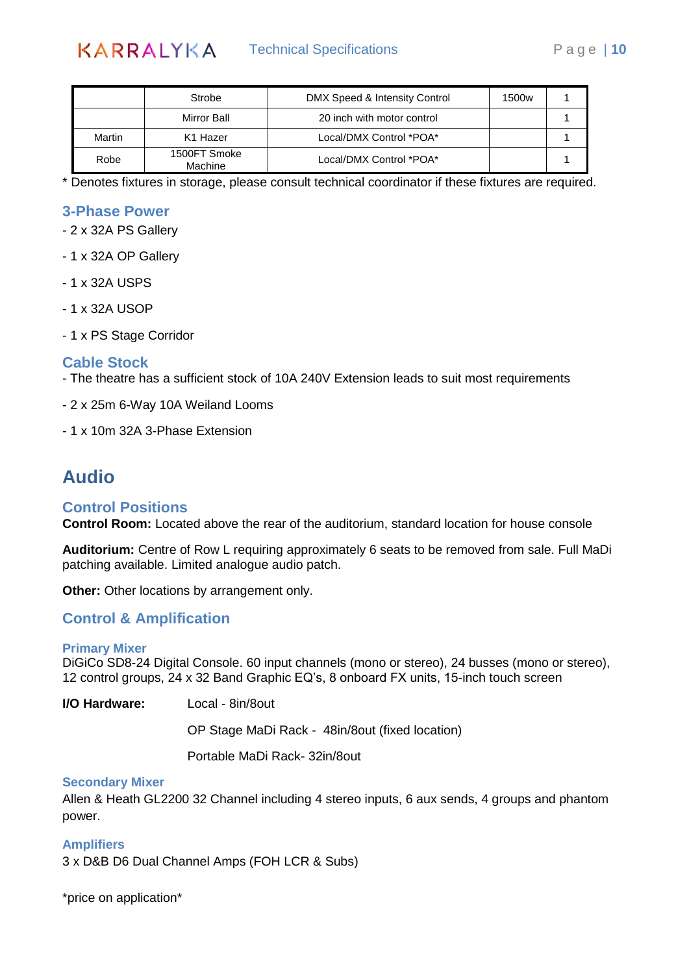

|        | Strobe                  | DMX Speed & Intensity Control | 1500 <sub>w</sub> |  |
|--------|-------------------------|-------------------------------|-------------------|--|
|        | Mirror Ball             | 20 inch with motor control    |                   |  |
| Martin | K1 Hazer                | Local/DMX Control *POA*       |                   |  |
| Robe   | 1500FT Smoke<br>Machine | Local/DMX Control *POA*       |                   |  |

\* Denotes fixtures in storage, please consult technical coordinator if these fixtures are required.

## <span id="page-9-0"></span>**3-Phase Power**

- 2 x 32A PS Gallery
- 1 x 32A OP Gallery
- 1 x 32A USPS
- 1 x 32A USOP
- 1 x PS Stage Corridor

#### <span id="page-9-1"></span>**Cable Stock**

- The theatre has a sufficient stock of 10A 240V Extension leads to suit most requirements

- 2 x 25m 6-Way 10A Weiland Looms

- 1 x 10m 32A 3-Phase Extension

# <span id="page-9-2"></span>**Audio**

#### <span id="page-9-3"></span>**Control Positions**

**Control Room:** Located above the rear of the auditorium, standard location for house console

**Auditorium:** Centre of Row L requiring approximately 6 seats to be removed from sale. Full MaDi patching available. Limited analogue audio patch.

**Other:** Other locations by arrangement only.

#### <span id="page-9-4"></span>**Control & Amplification**

#### <span id="page-9-5"></span>**Primary Mixer**

DiGiCo SD8-24 Digital Console. 60 input channels (mono or stereo), 24 busses (mono or stereo), 12 control groups, 24 x 32 Band Graphic EQ's, 8 onboard FX units, 15-inch touch screen

**I/O Hardware:** Local - 8in/8out

OP Stage MaDi Rack - 48in/8out (fixed location)

Portable MaDi Rack- 32in/8out

#### <span id="page-9-6"></span>**Secondary Mixer**

Allen & Heath GL2200 32 Channel including 4 stereo inputs, 6 aux sends, 4 groups and phantom power.

<span id="page-9-7"></span>**Amplifiers** 3 x D&B D6 Dual Channel Amps (FOH LCR & Subs)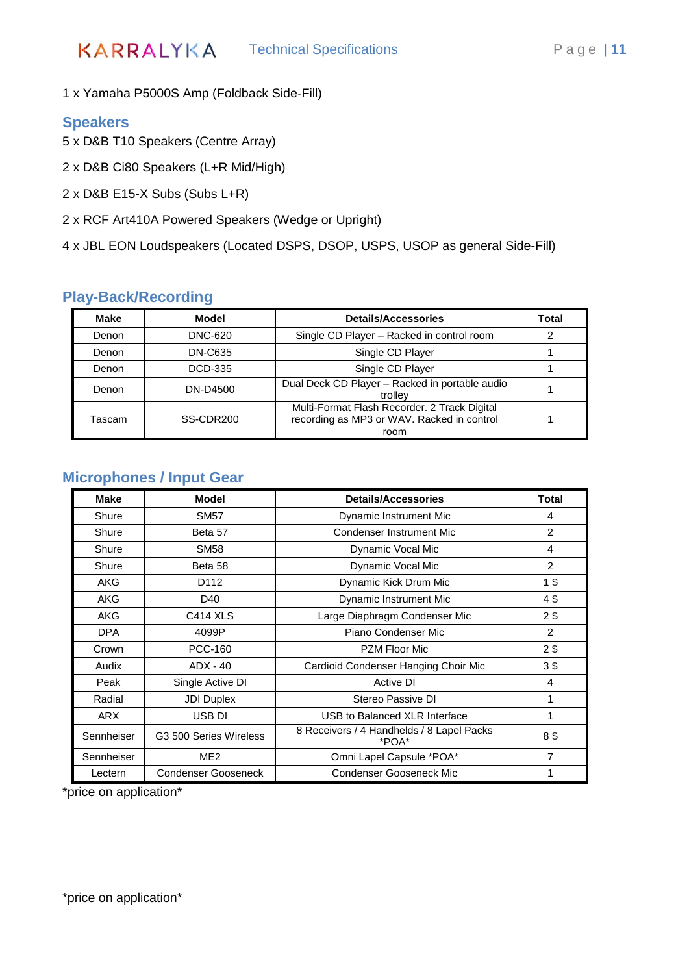# KARRALYKA Technical Specifications Page | 11

1 x Yamaha P5000S Amp (Foldback Side-Fill)

## <span id="page-10-0"></span>**Speakers**

- 5 x D&B T10 Speakers (Centre Array)
- 2 x D&B Ci80 Speakers (L+R Mid/High)
- 2 x D&B E15-X Subs (Subs L+R)
- 2 x RCF Art410A Powered Speakers (Wedge or Upright)

4 x JBL EON Loudspeakers (Located DSPS, DSOP, USPS, USOP as general Side-Fill)

# <span id="page-10-1"></span>**Play-Back/Recording**

| Make   | Model                 | <b>Details/Accessories</b>                                                                         | Total |
|--------|-----------------------|----------------------------------------------------------------------------------------------------|-------|
| Denon  | <b>DNC-620</b>        | Single CD Player - Racked in control room                                                          |       |
| Denon  | <b>DN-C635</b>        | Single CD Player                                                                                   |       |
| Denon  | DCD-335               | Single CD Player                                                                                   |       |
| Denon  | DN-D4500              | Dual Deck CD Player - Racked in portable audio<br>trollev                                          |       |
| Tascam | SS-CDR <sub>200</sub> | Multi-Format Flash Recorder. 2 Track Digital<br>recording as MP3 or WAV. Racked in control<br>room |       |

# <span id="page-10-2"></span>**Microphones / Input Gear**

| Make       | Model                  | <b>Details/Accessories</b>                           | <b>Total</b>   |
|------------|------------------------|------------------------------------------------------|----------------|
| Shure      | SM57                   | Dynamic Instrument Mic                               | 4              |
| Shure      | Beta 57                | <b>Condenser Instrument Mic</b>                      | $\mathfrak{p}$ |
| Shure      | SM58                   | Dynamic Vocal Mic                                    | 4              |
| Shure      | Beta 58                | Dynamic Vocal Mic                                    | $\overline{2}$ |
| AKG        | D <sub>112</sub>       | Dynamic Kick Drum Mic                                | 1\$            |
| AKG        | D40                    | Dynamic Instrument Mic                               | 4\$            |
| AKG        | <b>C414 XLS</b>        | Large Diaphragm Condenser Mic                        | 2\$            |
| DPA        | 4099P                  | Piano Condenser Mic                                  | $\mathcal{P}$  |
| Crown      | <b>PCC-160</b>         | <b>PZM Floor Mic</b>                                 | 2\$            |
| Audix      | $ADX - 40$             | Cardioid Condenser Hanging Choir Mic                 | 3\$            |
| Peak       | Single Active DI       | Active DI                                            | 4              |
| Radial     | <b>JDI Duplex</b>      | Stereo Passive DI                                    | 1              |
| <b>ARX</b> | USB DI                 | USB to Balanced XLR Interface                        | 1              |
| Sennheiser | G3 500 Series Wireless | 8 Receivers / 4 Handhelds / 8 Lapel Packs<br>$*POA*$ | 8\$            |
| Sennheiser | ME <sub>2</sub>        | Omni Lapel Capsule *POA*                             | 7              |
| Lectern    | Condenser Gooseneck    | Condenser Gooseneck Mic                              |                |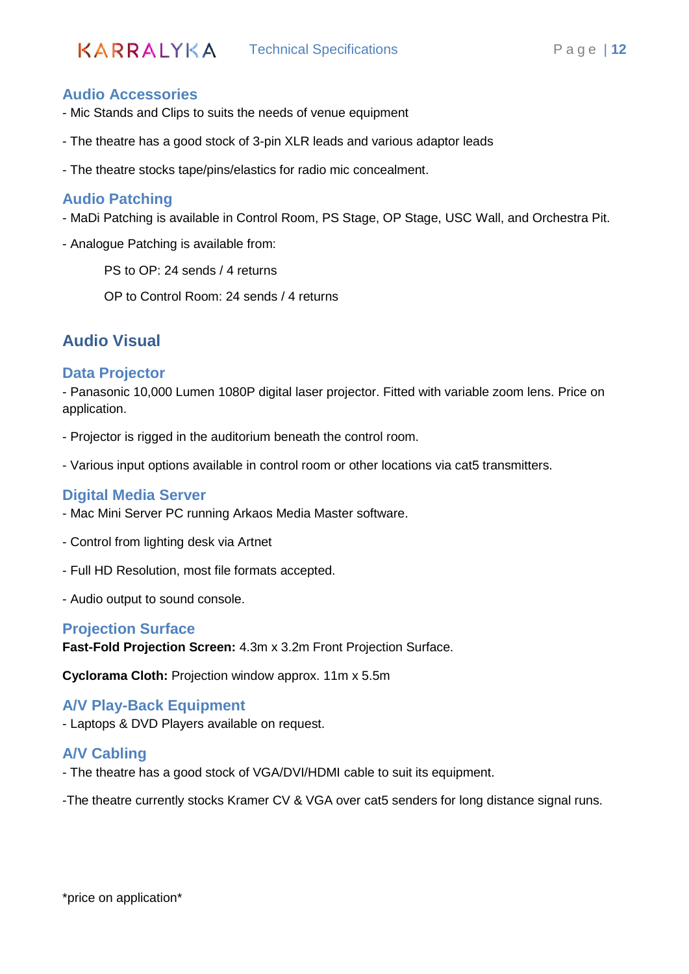

## <span id="page-11-0"></span>**Audio Accessories**

- Mic Stands and Clips to suits the needs of venue equipment
- The theatre has a good stock of 3-pin XLR leads and various adaptor leads
- The theatre stocks tape/pins/elastics for radio mic concealment.

#### <span id="page-11-1"></span>**Audio Patching**

- MaDi Patching is available in Control Room, PS Stage, OP Stage, USC Wall, and Orchestra Pit.
- Analogue Patching is available from:

PS to OP: 24 sends / 4 returns

OP to Control Room: 24 sends / 4 returns

# <span id="page-11-2"></span>**Audio Visual**

#### <span id="page-11-3"></span>**Data Projector**

- Panasonic 10,000 Lumen 1080P digital laser projector. Fitted with variable zoom lens. Price on application.

- Projector is rigged in the auditorium beneath the control room.
- Various input options available in control room or other locations via cat5 transmitters.

#### <span id="page-11-4"></span>**Digital Media Server**

- Mac Mini Server PC running Arkaos Media Master software.
- Control from lighting desk via Artnet
- Full HD Resolution, most file formats accepted.
- Audio output to sound console.

#### <span id="page-11-5"></span>**Projection Surface**

**Fast-Fold Projection Screen:** 4.3m x 3.2m Front Projection Surface.

**Cyclorama Cloth:** Projection window approx. 11m x 5.5m

#### <span id="page-11-6"></span>**A/V Play-Back Equipment**

- Laptops & DVD Players available on request.

#### <span id="page-11-7"></span>**A/V Cabling**

- The theatre has a good stock of VGA/DVI/HDMI cable to suit its equipment.

-The theatre currently stocks Kramer CV & VGA over cat5 senders for long distance signal runs.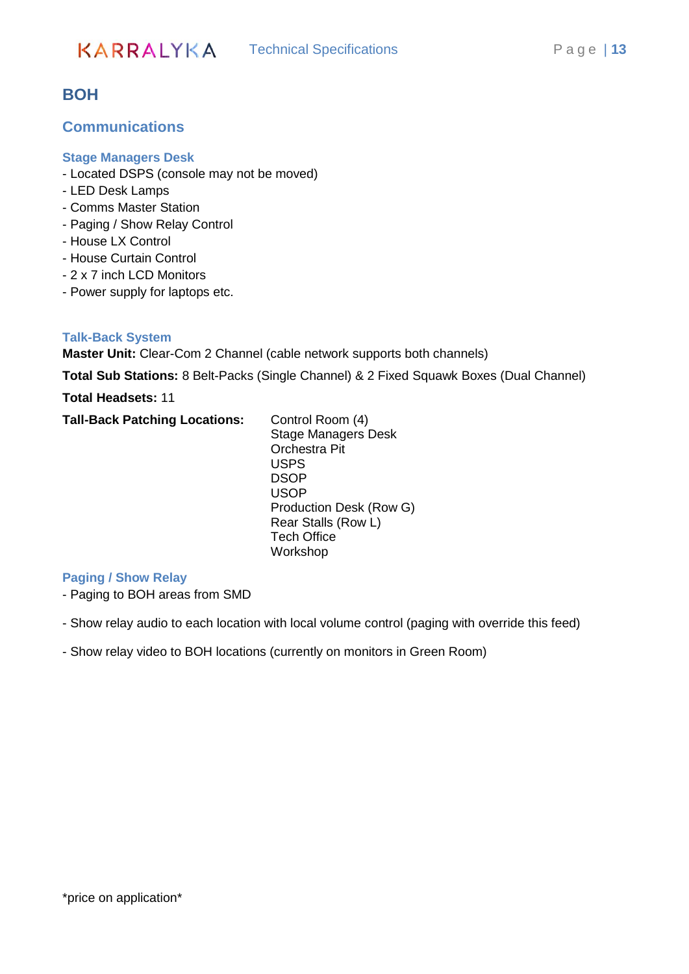# <span id="page-12-0"></span>**BOH**

# <span id="page-12-1"></span>**Communications**

#### <span id="page-12-2"></span>**Stage Managers Desk**

- Located DSPS (console may not be moved)
- LED Desk Lamps
- Comms Master Station
- Paging / Show Relay Control
- House LX Control
- House Curtain Control
- 2 x 7 inch LCD Monitors
- Power supply for laptops etc.

#### <span id="page-12-3"></span>**Talk-Back System**

**Master Unit:** Clear-Com 2 Channel (cable network supports both channels)

**Total Sub Stations:** 8 Belt-Packs (Single Channel) & 2 Fixed Squawk Boxes (Dual Channel)

**Total Headsets:** 11

**Tall-Back Patching Locations:** Control Room (4)

Stage Managers Desk Orchestra Pit USPS DSOP USOP Production Desk (Row G) Rear Stalls (Row L) Tech Office Workshop

#### <span id="page-12-4"></span>**Paging / Show Relay**

- Paging to BOH areas from SMD
- Show relay audio to each location with local volume control (paging with override this feed)
- Show relay video to BOH locations (currently on monitors in Green Room)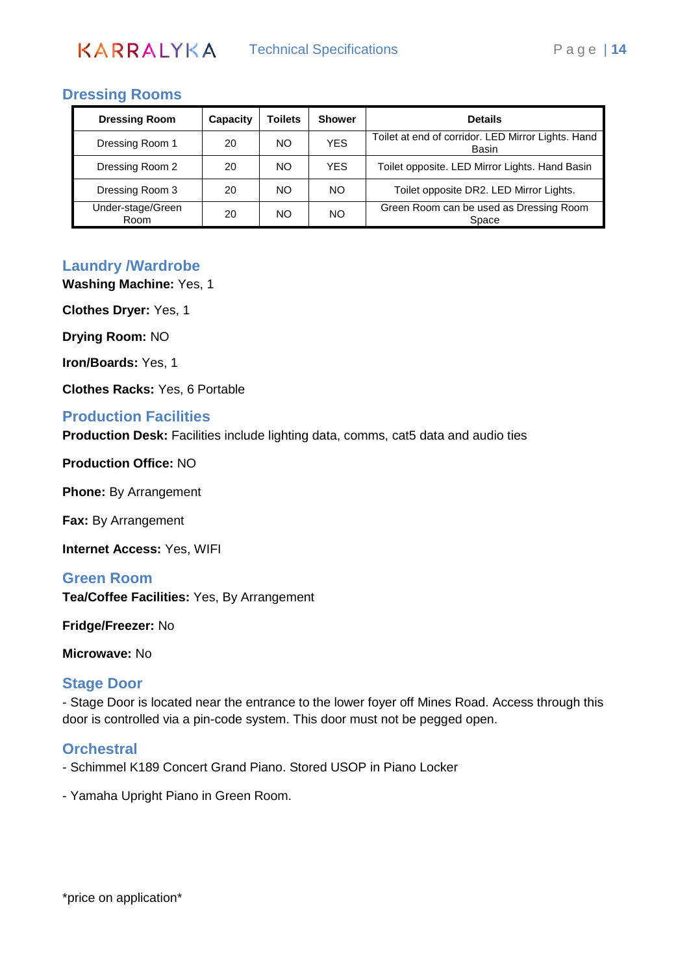

## <span id="page-13-0"></span>**Dressing Rooms**

| <b>Dressing Room</b>      | Capacity | <b>Toilets</b> | <b>Shower</b> | <b>Details</b>                                              |
|---------------------------|----------|----------------|---------------|-------------------------------------------------------------|
| Dressing Room 1           | 20       | NO.            | <b>YES</b>    | Toilet at end of corridor. LED Mirror Lights. Hand<br>Basin |
| Dressing Room 2           | 20       | NO.            | <b>YES</b>    | Toilet opposite. LED Mirror Lights. Hand Basin              |
| Dressing Room 3           | 20       | NO.            | NO.           | Toilet opposite DR2. LED Mirror Lights.                     |
| Under-stage/Green<br>Room | 20       | NO.            | NO.           | Green Room can be used as Dressing Room<br>Space            |

## <span id="page-13-1"></span>**Laundry /Wardrobe**

**Washing Machine:** Yes, 1

**Clothes Dryer:** Yes, 1

**Drying Room:** NO

**Iron/Boards:** Yes, 1

**Clothes Racks:** Yes, 6 Portable

#### <span id="page-13-2"></span>**Production Facilities**

**Production Desk:** Facilities include lighting data, comms, cat5 data and audio ties

**Production Office:** NO

**Phone:** By Arrangement

**Fax:** By Arrangement

**Internet Access:** Yes, WIFI

<span id="page-13-3"></span>**Green Room**

**Tea/Coffee Facilities:** Yes, By Arrangement

**Fridge/Freezer:** No

**Microwave:** No

#### <span id="page-13-4"></span>**Stage Door**

- Stage Door is located near the entrance to the lower foyer off Mines Road. Access through this door is controlled via a pin-code system. This door must not be pegged open.

#### <span id="page-13-5"></span>**Orchestral**

- Schimmel K189 Concert Grand Piano. Stored USOP in Piano Locker

- Yamaha Upright Piano in Green Room.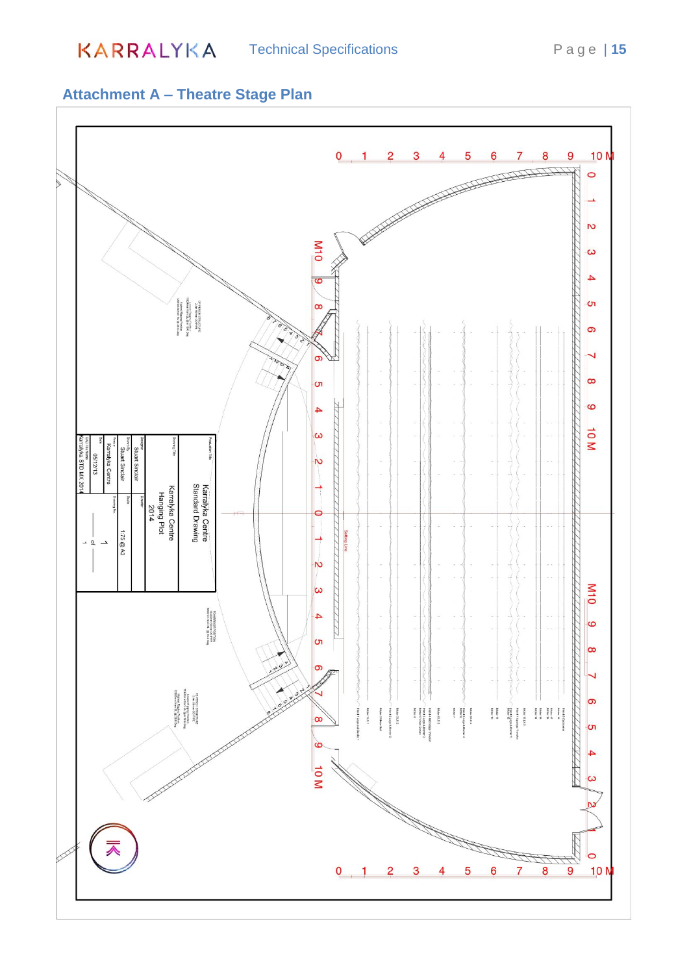KARRALYKA Technical Specifications Page | 15

# <span id="page-14-0"></span>**Attachment A – Theatre Stage Plan**

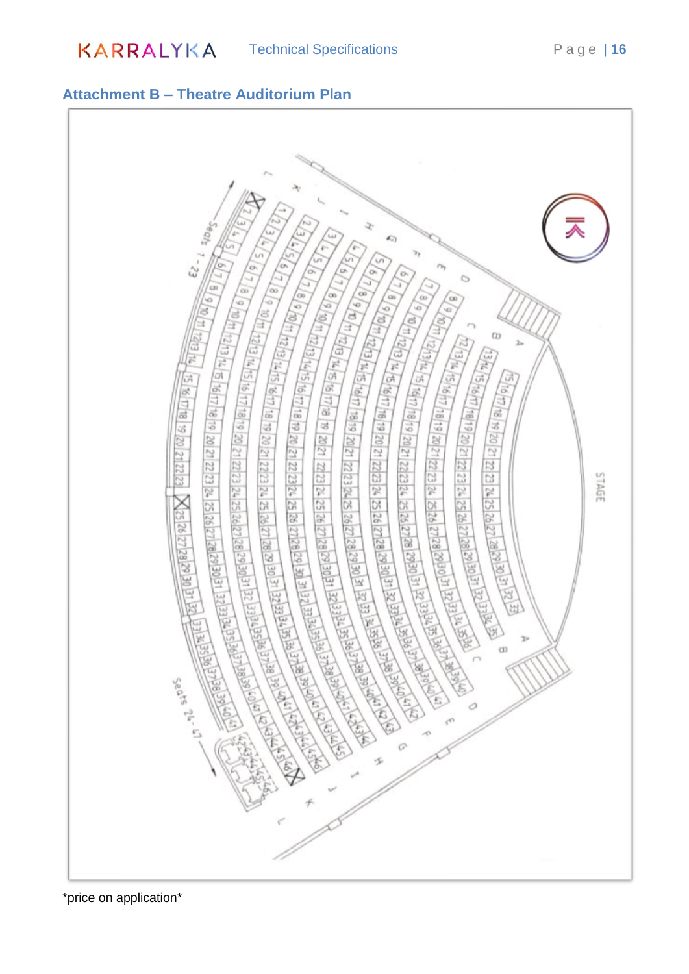

## <span id="page-15-0"></span>**Attachment B – Theatre Auditorium Plan**

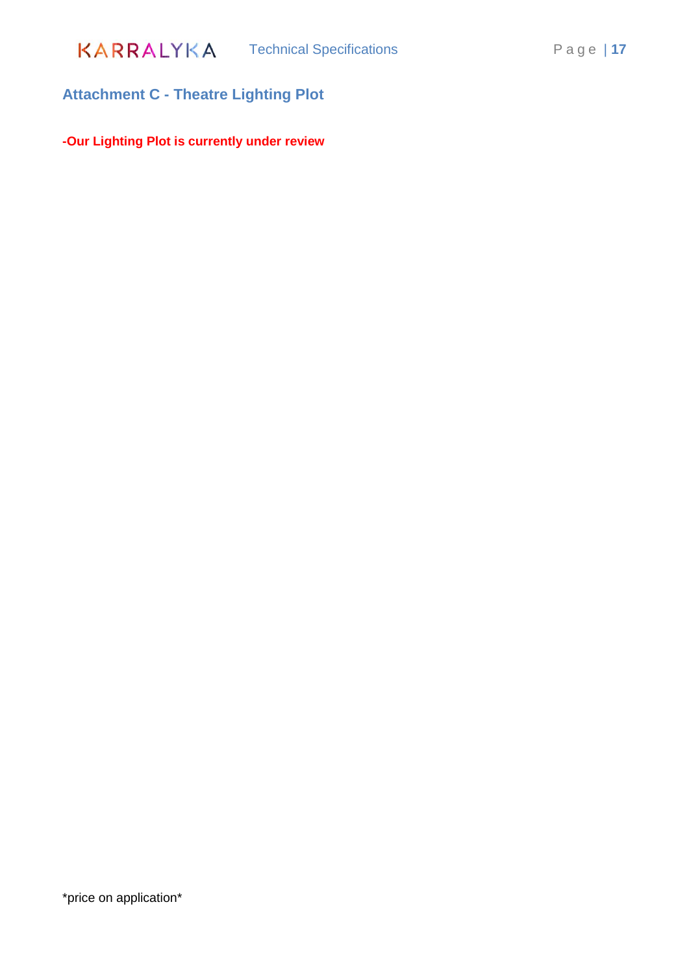

# <span id="page-16-0"></span>**Attachment C - Theatre Lighting Plot**

**-Our Lighting Plot is currently under review**